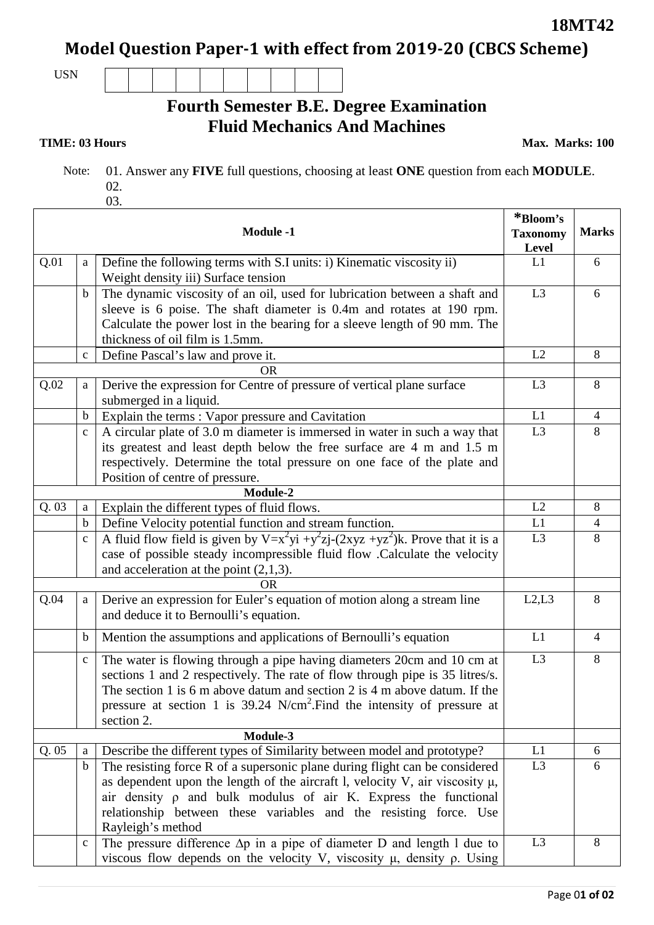**18MT42**

**Model Question Paper-1 with effect from 2019-20 (CBCS Scheme)**

USN

## **Fourth Semester B.E. Degree Examination Fluid Mechanics And Machines**

**TIME: 03 Hours** Max. Marks: 100

 Note: 01. Answer any **FIVE** full questions, choosing at least **ONE** question from each **MODULE**. 02. 03.

|      |              | <b>Module -1</b>                                                                                                       | *Bloom's<br><b>Taxonomy</b><br>Level | <b>Marks</b>   |
|------|--------------|------------------------------------------------------------------------------------------------------------------------|--------------------------------------|----------------|
| Q.01 | a            | Define the following terms with S.I units: i) Kinematic viscosity ii)                                                  | L1                                   | 6              |
|      |              | Weight density iii) Surface tension                                                                                    |                                      |                |
|      | $\mathbf b$  | The dynamic viscosity of an oil, used for lubrication between a shaft and                                              | L <sub>3</sub>                       | 6              |
|      |              | sleeve is 6 poise. The shaft diameter is 0.4m and rotates at 190 rpm.                                                  |                                      |                |
|      |              | Calculate the power lost in the bearing for a sleeve length of 90 mm. The                                              |                                      |                |
|      |              | thickness of oil film is 1.5mm.                                                                                        |                                      |                |
|      | $\mathbf c$  | Define Pascal's law and prove it.                                                                                      | L2                                   | 8              |
|      |              | <b>OR</b>                                                                                                              |                                      |                |
| Q.02 | a            | Derive the expression for Centre of pressure of vertical plane surface                                                 | L <sub>3</sub>                       | 8              |
|      |              | submerged in a liquid.                                                                                                 |                                      |                |
|      | $\mathbf b$  | Explain the terms: Vapor pressure and Cavitation                                                                       | L1                                   | $\overline{4}$ |
|      | $\mathbf{C}$ | A circular plate of 3.0 m diameter is immersed in water in such a way that                                             | L <sub>3</sub>                       | 8              |
|      |              | its greatest and least depth below the free surface are 4 m and 1.5 m                                                  |                                      |                |
|      |              | respectively. Determine the total pressure on one face of the plate and                                                |                                      |                |
|      |              | Position of centre of pressure.                                                                                        |                                      |                |
| Q.03 |              | Module-2                                                                                                               | L2                                   |                |
|      | a            | Explain the different types of fluid flows.                                                                            | L1                                   | 8              |
|      | $\mathbf b$  | Define Velocity potential function and stream function.                                                                | L <sub>3</sub>                       | 4<br>8         |
|      | $\mathbf{C}$ | A fluid flow field is given by $V=x^2yi + y^2zj-(2xyz + yz^2)k$ . Prove that it is a                                   |                                      |                |
|      |              | case of possible steady incompressible fluid flow .Calculate the velocity<br>and acceleration at the point $(2,1,3)$ . |                                      |                |
|      |              | <b>OR</b>                                                                                                              |                                      |                |
| Q.04 | a            | Derive an expression for Euler's equation of motion along a stream line                                                | L2, L3                               | 8              |
|      |              | and deduce it to Bernoulli's equation.                                                                                 |                                      |                |
|      | $\mathbf b$  | Mention the assumptions and applications of Bernoulli's equation                                                       | L1                                   | 4              |
|      | $\mathbf{C}$ | The water is flowing through a pipe having diameters 20cm and 10 cm at                                                 | L <sub>3</sub>                       | 8              |
|      |              | sections 1 and 2 respectively. The rate of flow through pipe is 35 litres/s.                                           |                                      |                |
|      |              | The section 1 is 6 m above datum and section 2 is 4 m above datum. If the                                              |                                      |                |
|      |              | pressure at section 1 is $39.24 \text{ N/cm}^2$ . Find the intensity of pressure at                                    |                                      |                |
|      |              | section 2.                                                                                                             |                                      |                |
|      |              | Module-3                                                                                                               |                                      |                |
| Q.05 | a            | Describe the different types of Similarity between model and prototype?                                                | L1                                   | 6              |
|      | $\mathbf b$  | The resisting force R of a supersonic plane during flight can be considered                                            | L <sub>3</sub>                       | 6              |
|      |              | as dependent upon the length of the aircraft l, velocity V, air viscosity $\mu$ ,                                      |                                      |                |
|      |              | air density $\rho$ and bulk modulus of air K. Express the functional                                                   |                                      |                |
|      |              | relationship between these variables and the resisting force. Use                                                      |                                      |                |
|      |              | Rayleigh's method                                                                                                      |                                      |                |
|      | $\mathbf{C}$ | The pressure difference $\Delta p$ in a pipe of diameter D and length 1 due to                                         | L <sub>3</sub>                       | 8              |
|      |              | viscous flow depends on the velocity V, viscosity $\mu$ , density $\rho$ . Using                                       |                                      |                |